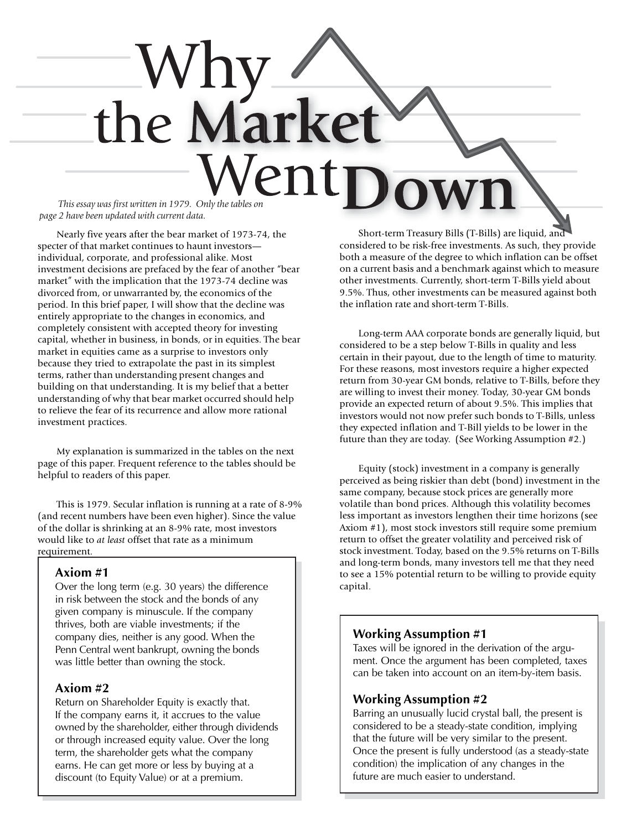# the Market ent *This essay was first written in 1979. Only the tables on*

*page 2 have been updated with current data.*

Nearly five years after the bear market of 1973-74, the specter of that market continues to haunt investors individual, corporate, and professional alike. Most investment decisions are prefaced by the fear of another "bear market" with the implication that the 1973-74 decline was divorced from, or unwarranted by, the economics of the period. In this brief paper, I will show that the decline was entirely appropriate to the changes in economics, and completely consistent with accepted theory for investing capital, whether in business, in bonds, or in equities. The bear market in equities came as a surprise to investors only because they tried to extrapolate the past in its simplest terms, rather than understanding present changes and building on that understanding. It is my belief that a better understanding of why that bear market occurred should help to relieve the fear of its recurrence and allow more rational investment practices.

My explanation is summarized in the tables on the next page of this paper. Frequent reference to the tables should be helpful to readers of this paper.

This is 1979. Secular inflation is running at a rate of 8-9% (and recent numbers have been even higher). Since the value of the dollar is shrinking at an 8-9% rate, most investors would like to *at least* offset that rate as a minimum requirement.

### **Axiom #1**

Over the long term (e.g. 30 years) the difference in risk between the stock and the bonds of any given company is minuscule. If the company thrives, both are viable investments; if the company dies, neither is any good. When the Penn Central went bankrupt, owning the bonds was little better than owning the stock.

# **Axiom #2**

Return on Shareholder Equity is exactly that. If the company earns it, it accrues to the value owned by the shareholder, either through dividends or through increased equity value. Over the long term, the shareholder gets what the company earns. He can get more or less by buying at a discount (to Equity Value) or at a premium.

Short-term Treasury Bills (T-Bills) are liquid, and considered to be risk-free investments. As such, they provide both a measure of the degree to which inflation can be offset on a current basis and a benchmark against which to measure other investments. Currently, short-term T-Bills yield about 9.5%. Thus, other investments can be measured against both the inflation rate and short-term T-Bills.

Long-term AAA corporate bonds are generally liquid, but considered to be a step below T-Bills in quality and less certain in their payout, due to the length of time to maturity. For these reasons, most investors require a higher expected return from 30-year GM bonds, relative to T-Bills, before they are willing to invest their money. Today, 30-year GM bonds provide an expected return of about 9.5%. This implies that investors would not now prefer such bonds to T-Bills, unless they expected inflation and T-Bill yields to be lower in the future than they are today. (See Working Assumption #2.)

Equity (stock) investment in a company is generally perceived as being riskier than debt (bond) investment in the same company, because stock prices are generally more volatile than bond prices. Although this volatility becomes less important as investors lengthen their time horizons (see Axiom #1), most stock investors still require some premium return to offset the greater volatility and perceived risk of stock investment. Today, based on the 9.5% returns on T-Bills and long-term bonds, many investors tell me that they need to see a 15% potential return to be willing to provide equity capital.

# **Working Assumption #1**

Taxes will be ignored in the derivation of the argument. Once the argument has been completed, taxes can be taken into account on an item-by-item basis.

# **Working Assumption #2**

Barring an unusually lucid crystal ball, the present is considered to be a steady-state condition, implying that the future will be very similar to the present. Once the present is fully understood (as a steady-state condition) the implication of any changes in the future are much easier to understand.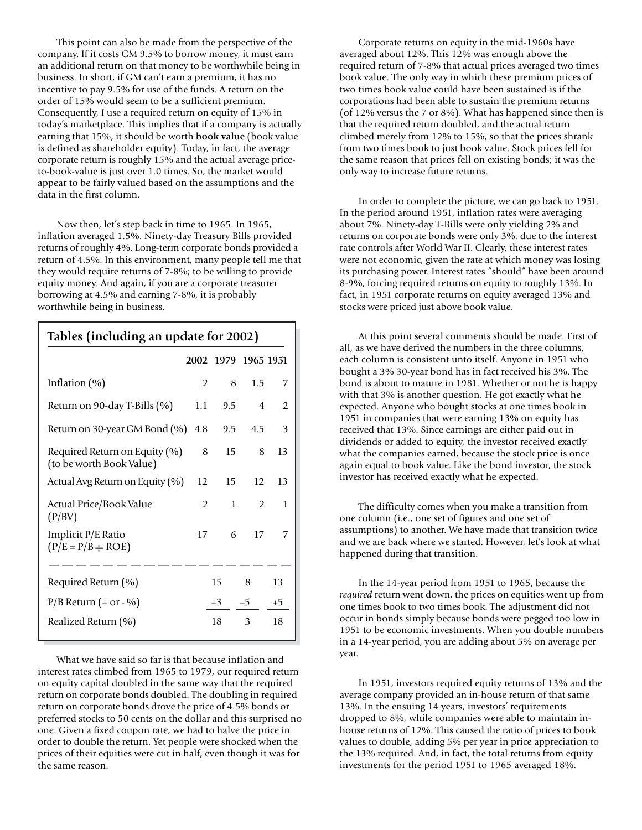This point can also be made from the perspective of the company. If it costs GM 9.5% to borrow money, it must earn an additional return on that money to be worthwhile being in business. In short, if GM can't earn a premium, it has no incentive to pay 9.5% for use of the funds. A return on the order of 15% would seem to be a sufficient premium. Consequently, I use a required return on equity of 15% in today's marketplace. This implies that if a company is actually earning that 15%, it should be worth **book value** (book value is defined as shareholder equity). Today, in fact, the average corporate return is roughly 15% and the actual average priceto-book-value is just over 1.0 times. So, the market would appear to be fairly valued based on the assumptions and the data in the first column.

Now then, let's step back in time to 1965. In 1965, inflation averaged 1.5%. Ninety-day Treasury Bills provided returns of roughly 4%. Long-term corporate bonds provided a return of 4.5%. In this environment, many people tell me that they would require returns of 7-8%; to be willing to provide equity money. And again, if you are a corporate treasurer borrowing at 4.5% and earning 7-8%, it is probably worthwhile being in business.

| Tables (including an update for 2002)                     |                |               |                |               |
|-----------------------------------------------------------|----------------|---------------|----------------|---------------|
|                                                           | 2002           |               | 1979 1965 1951 |               |
| Inflation $(\%)$                                          | $\overline{2}$ | 8             | 1.5            | 7             |
| Return on 90-day T-Bills (%)                              | $1.1\,$        | $9.5^{\circ}$ | 4              | $\mathcal{P}$ |
| Return on 30-year GM Bond (%)                             | 4.8            | $9.5^{\circ}$ | 4.5            | 3             |
| Required Return on Equity (%)<br>(to be worth Book Value) | 8              | 15            | 8              | 13            |
| Actual Avg Return on Equity (%)                           | 12             | 15            | 12             | 13            |
| Actual Price/Book Value<br>(P/BV)                         | $\mathcal{P}$  | $\mathbf{1}$  | $\mathcal{P}$  | 1             |
| Implicit P/E Ratio<br>$(P/E = P/B - ROE)$                 | 17             | 6             | 17             | 7             |
|                                                           |                |               |                |               |
| Required Return (%)                                       |                | 15            | 8              | 13            |
| $P/B$ Return $(+$ or - %)                                 |                | $+3$          | -5             | $+5$          |
| Realized Return (%)                                       |                | 18            | 3              | 18            |

What we have said so far is that because inflation and interest rates climbed from 1965 to 1979, our required return on equity capital doubled in the same way that the required return on corporate bonds doubled. The doubling in required return on corporate bonds drove the price of 4.5% bonds or preferred stocks to 50 cents on the dollar and this surprised no one. Given a fixed coupon rate, we had to halve the price in order to double the return. Yet people were shocked when the prices of their equities were cut in half, even though it was for the same reason.

Corporate returns on equity in the mid-1960s have averaged about 12%. This 12% was enough above the required return of 7-8% that actual prices averaged two times book value. The only way in which these premium prices of two times book value could have been sustained is if the corporations had been able to sustain the premium returns (of 12% versus the 7 or 8%). What has happened since then is that the required return doubled, and the actual return climbed merely from 12% to 15%, so that the prices shrank from two times book to just book value. Stock prices fell for the same reason that prices fell on existing bonds; it was the only way to increase future returns.

In order to complete the picture, we can go back to 1951. In the period around 1951, inflation rates were averaging about 7%. Ninety-day T-Bills were only yielding 2% and returns on corporate bonds were only 3%, due to the interest rate controls after World War II. Clearly, these interest rates were not economic, given the rate at which money was losing its purchasing power. Interest rates "should" have been around 8-9%, forcing required returns on equity to roughly 13%. In fact, in 1951 corporate returns on equity averaged 13% and stocks were priced just above book value.

At this point several comments should be made. First of all, as we have derived the numbers in the three columns, each column is consistent unto itself. Anyone in 1951 who bought a 3% 30-year bond has in fact received his 3%. The bond is about to mature in 1981. Whether or not he is happy with that 3% is another question. He got exactly what he expected. Anyone who bought stocks at one times book in 1951 in companies that were earning 13% on equity has received that 13%. Since earnings are either paid out in dividends or added to equity, the investor received exactly what the companies earned, because the stock price is once again equal to book value. Like the bond investor, the stock investor has received exactly what he expected.

The difficulty comes when you make a transition from one column (i.e., one set of figures and one set of assumptions) to another. We have made that transition twice and we are back where we started. However, let's look at what happened during that transition.

In the 14-year period from 1951 to 1965, because the *required* return went down, the prices on equities went up from one times book to two times book. The adjustment did not occur in bonds simply because bonds were pegged too low in 1951 to be economic investments. When you double numbers in a 14-year period, you are adding about 5% on average per year.

In 1951, investors required equity returns of 13% and the average company provided an in-house return of that same 13%. In the ensuing 14 years, investors' requirements dropped to 8%, while companies were able to maintain inhouse returns of 12%. This caused the ratio of prices to book values to double, adding 5% per year in price appreciation to the 13% required. And, in fact, the total returns from equity investments for the period 1951 to 1965 averaged 18%.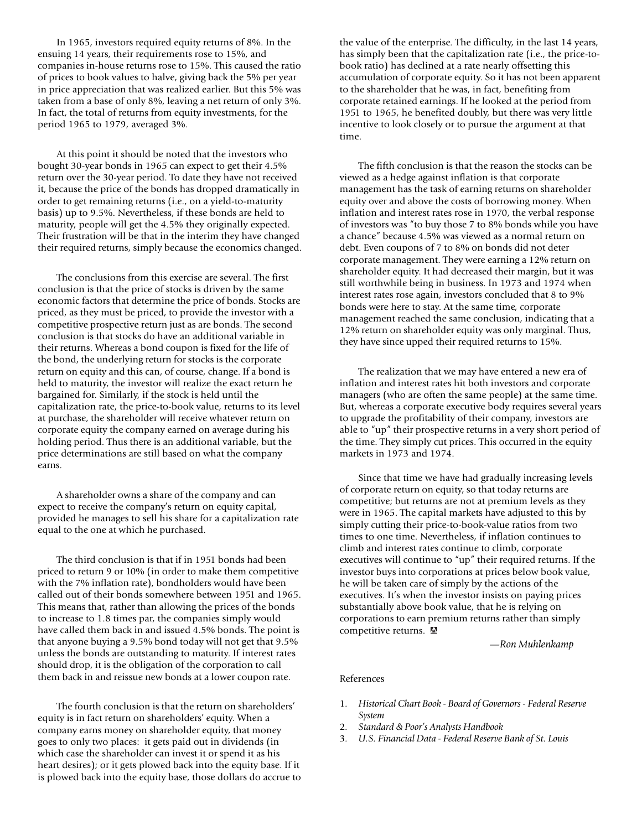In 1965, investors required equity returns of 8%. In the ensuing 14 years, their requirements rose to 15%, and companies in-house returns rose to 15%. This caused the ratio of prices to book values to halve, giving back the 5% per year in price appreciation that was realized earlier. But this 5% was taken from a base of only 8%, leaving a net return of only 3%. In fact, the total of returns from equity investments, for the period 1965 to 1979, averaged 3%.

At this point it should be noted that the investors who bought 30-year bonds in 1965 can expect to get their 4.5% return over the 30-year period. To date they have not received it, because the price of the bonds has dropped dramatically in order to get remaining returns (i.e., on a yield-to-maturity basis) up to 9.5%. Nevertheless, if these bonds are held to maturity, people will get the 4.5% they originally expected. Their frustration will be that in the interim they have changed their required returns, simply because the economics changed.

The conclusions from this exercise are several. The first conclusion is that the price of stocks is driven by the same economic factors that determine the price of bonds. Stocks are priced, as they must be priced, to provide the investor with a competitive prospective return just as are bonds. The second conclusion is that stocks do have an additional variable in their returns. Whereas a bond coupon is fixed for the life of the bond, the underlying return for stocks is the corporate return on equity and this can, of course, change. If a bond is held to maturity, the investor will realize the exact return he bargained for. Similarly, if the stock is held until the capitalization rate, the price-to-book value, returns to its level at purchase, the shareholder will receive whatever return on corporate equity the company earned on average during his holding period. Thus there is an additional variable, but the price determinations are still based on what the company earns.

A shareholder owns a share of the company and can expect to receive the company's return on equity capital, provided he manages to sell his share for a capitalization rate equal to the one at which he purchased.

The third conclusion is that if in 1951 bonds had been priced to return 9 or 10% (in order to make them competitive with the 7% inflation rate), bondholders would have been called out of their bonds somewhere between 1951 and 1965. This means that, rather than allowing the prices of the bonds to increase to 1.8 times par, the companies simply would have called them back in and issued 4.5% bonds. The point is that anyone buying a 9.5% bond today will not get that 9.5% unless the bonds are outstanding to maturity. If interest rates should drop, it is the obligation of the corporation to call them back in and reissue new bonds at a lower coupon rate.

The fourth conclusion is that the return on shareholders' equity is in fact return on shareholders' equity. When a company earns money on shareholder equity, that money goes to only two places: it gets paid out in dividends (in which case the shareholder can invest it or spend it as his heart desires); or it gets plowed back into the equity base. If it is plowed back into the equity base, those dollars do accrue to

the value of the enterprise. The difficulty, in the last 14 years, has simply been that the capitalization rate (i.e., the price-tobook ratio) has declined at a rate nearly offsetting this accumulation of corporate equity. So it has not been apparent to the shareholder that he was, in fact, benefiting from corporate retained earnings. If he looked at the period from 1951 to 1965, he benefited doubly, but there was very little incentive to look closely or to pursue the argument at that time.

The fifth conclusion is that the reason the stocks can be viewed as a hedge against inflation is that corporate management has the task of earning returns on shareholder equity over and above the costs of borrowing money. When inflation and interest rates rose in 1970, the verbal response of investors was "to buy those 7 to 8% bonds while you have a chance" because 4.5% was viewed as a normal return on debt. Even coupons of 7 to 8% on bonds did not deter corporate management. They were earning a 12% return on shareholder equity. It had decreased their margin, but it was still worthwhile being in business. In 1973 and 1974 when interest rates rose again, investors concluded that 8 to 9% bonds were here to stay. At the same time, corporate management reached the same conclusion, indicating that a 12% return on shareholder equity was only marginal. Thus, they have since upped their required returns to 15%.

The realization that we may have entered a new era of inflation and interest rates hit both investors and corporate managers (who are often the same people) at the same time. But, whereas a corporate executive body requires several years to upgrade the profitability of their company, investors are able to "up" their prospective returns in a very short period of the time. They simply cut prices. This occurred in the equity markets in 1973 and 1974.

Since that time we have had gradually increasing levels of corporate return on equity, so that today returns are competitive; but returns are not at premium levels as they were in 1965. The capital markets have adjusted to this by simply cutting their price-to-book-value ratios from two times to one time. Nevertheless, if inflation continues to climb and interest rates continue to climb, corporate executives will continue to "up" their required returns. If the investor buys into corporations at prices below book value, he will be taken care of simply by the actions of the executives. It's when the investor insists on paying prices substantially above book value, that he is relying on corporations to earn premium returns rather than simply competitive returns.

—*Ron Muhlenkamp*

#### References

- 1. *Historical Chart Book Board of Governors Federal Reserve System*
- 2. *Standard & Poor's Analysts Handbook*
- 3. *U.S. Financial Data Federal Reserve Bank of St. Louis*